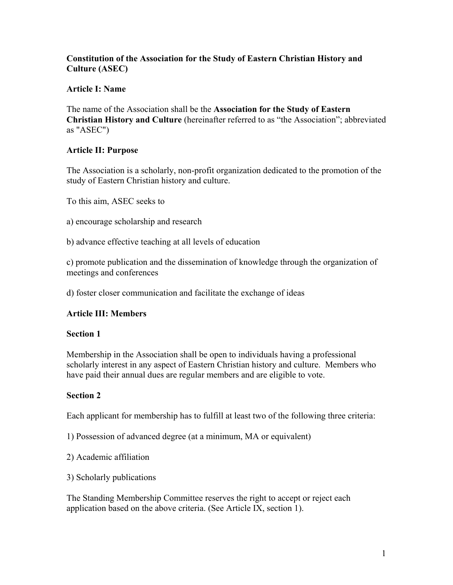## **Constitution of the Association for the Study of Eastern Christian History and Culture (ASEC)**

# **Article I: Name**

The name of the Association shall be the **Association for the Study of Eastern Christian History and Culture** (hereinafter referred to as "the Association"; abbreviated as "ASEC")

# **Article II: Purpose**

The Association is a scholarly, non-profit organization dedicated to the promotion of the study of Eastern Christian history and culture.

To this aim, ASEC seeks to

- a) encourage scholarship and research
- b) advance effective teaching at all levels of education

c) promote publication and the dissemination of knowledge through the organization of meetings and conferences

d) foster closer communication and facilitate the exchange of ideas

## **Article III: Members**

## **Section 1**

Membership in the Association shall be open to individuals having a professional scholarly interest in any aspect of Eastern Christian history and culture. Members who have paid their annual dues are regular members and are eligible to vote.

## **Section 2**

Each applicant for membership has to fulfill at least two of the following three criteria:

- 1) Possession of advanced degree (at a minimum, MA or equivalent)
- 2) Academic affiliation
- 3) Scholarly publications

The Standing Membership Committee reserves the right to accept or reject each application based on the above criteria. (See Article IX, section 1).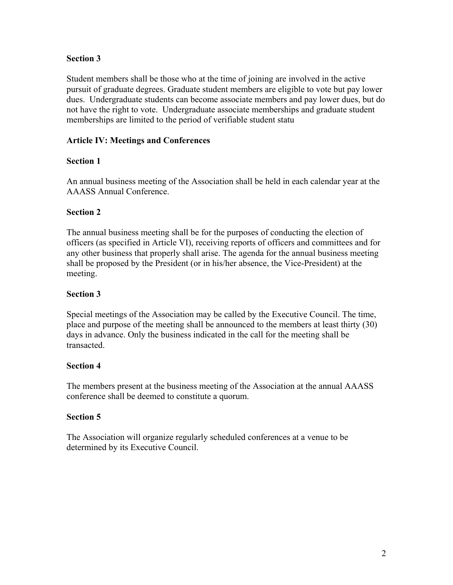## **Section 3**

Student members shall be those who at the time of joining are involved in the active pursuit of graduate degrees. Graduate student members are eligible to vote but pay lower dues. Undergraduate students can become associate members and pay lower dues, but do not have the right to vote. Undergraduate associate memberships and graduate student memberships are limited to the period of verifiable student statu

# **Article IV: Meetings and Conferences**

# **Section 1**

An annual business meeting of the Association shall be held in each calendar year at the AAASS Annual Conference.

# **Section 2**

The annual business meeting shall be for the purposes of conducting the election of officers (as specified in Article VI), receiving reports of officers and committees and for any other business that properly shall arise. The agenda for the annual business meeting shall be proposed by the President (or in his/her absence, the Vice-President) at the meeting.

# **Section 3**

Special meetings of the Association may be called by the Executive Council. The time, place and purpose of the meeting shall be announced to the members at least thirty (30) days in advance. Only the business indicated in the call for the meeting shall be transacted.

# **Section 4**

The members present at the business meeting of the Association at the annual AAASS conference shall be deemed to constitute a quorum.

## **Section 5**

The Association will organize regularly scheduled conferences at a venue to be determined by its Executive Council.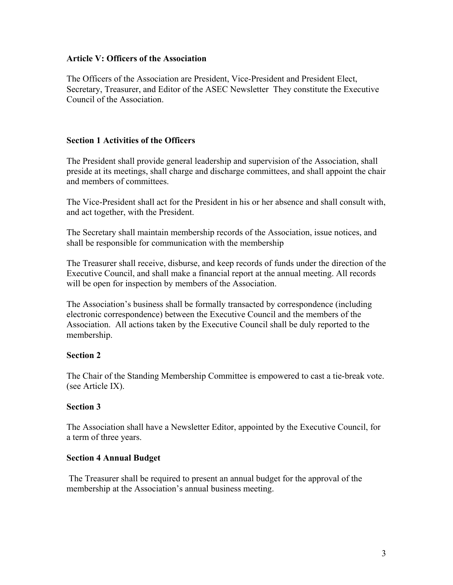### **Article V: Officers of the Association**

The Officers of the Association are President, Vice-President and President Elect, Secretary, Treasurer, and Editor of the ASEC Newsletter They constitute the Executive Council of the Association.

### **Section 1 Activities of the Officers**

The President shall provide general leadership and supervision of the Association, shall preside at its meetings, shall charge and discharge committees, and shall appoint the chair and members of committees.

The Vice-President shall act for the President in his or her absence and shall consult with, and act together, with the President.

The Secretary shall maintain membership records of the Association, issue notices, and shall be responsible for communication with the membership

The Treasurer shall receive, disburse, and keep records of funds under the direction of the Executive Council, and shall make a financial report at the annual meeting. All records will be open for inspection by members of the Association.

The Association's business shall be formally transacted by correspondence (including electronic correspondence) between the Executive Council and the members of the Association. All actions taken by the Executive Council shall be duly reported to the membership.

## **Section 2**

The Chair of the Standing Membership Committee is empowered to cast a tie-break vote. (see Article IX).

## **Section 3**

The Association shall have a Newsletter Editor, appointed by the Executive Council, for a term of three years.

#### **Section 4 Annual Budget**

 The Treasurer shall be required to present an annual budget for the approval of the membership at the Association's annual business meeting.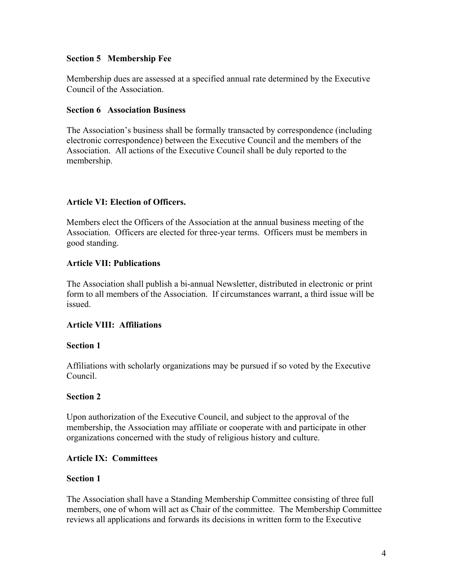### **Section 5 Membership Fee**

Membership dues are assessed at a specified annual rate determined by the Executive Council of the Association.

#### **Section 6 Association Business**

The Association's business shall be formally transacted by correspondence (including electronic correspondence) between the Executive Council and the members of the Association. All actions of the Executive Council shall be duly reported to the membership.

## **Article VI: Election of Officers.**

Members elect the Officers of the Association at the annual business meeting of the Association. Officers are elected for three-year terms. Officers must be members in good standing.

### **Article VII: Publications**

The Association shall publish a bi-annual Newsletter, distributed in electronic or print form to all members of the Association. If circumstances warrant, a third issue will be issued.

#### **Article VIII: Affiliations**

#### **Section 1**

Affiliations with scholarly organizations may be pursued if so voted by the Executive Council.

#### **Section 2**

Upon authorization of the Executive Council, and subject to the approval of the membership, the Association may affiliate or cooperate with and participate in other organizations concerned with the study of religious history and culture.

#### **Article IX: Committees**

#### **Section 1**

The Association shall have a Standing Membership Committee consisting of three full members, one of whom will act as Chair of the committee. The Membership Committee reviews all applications and forwards its decisions in written form to the Executive